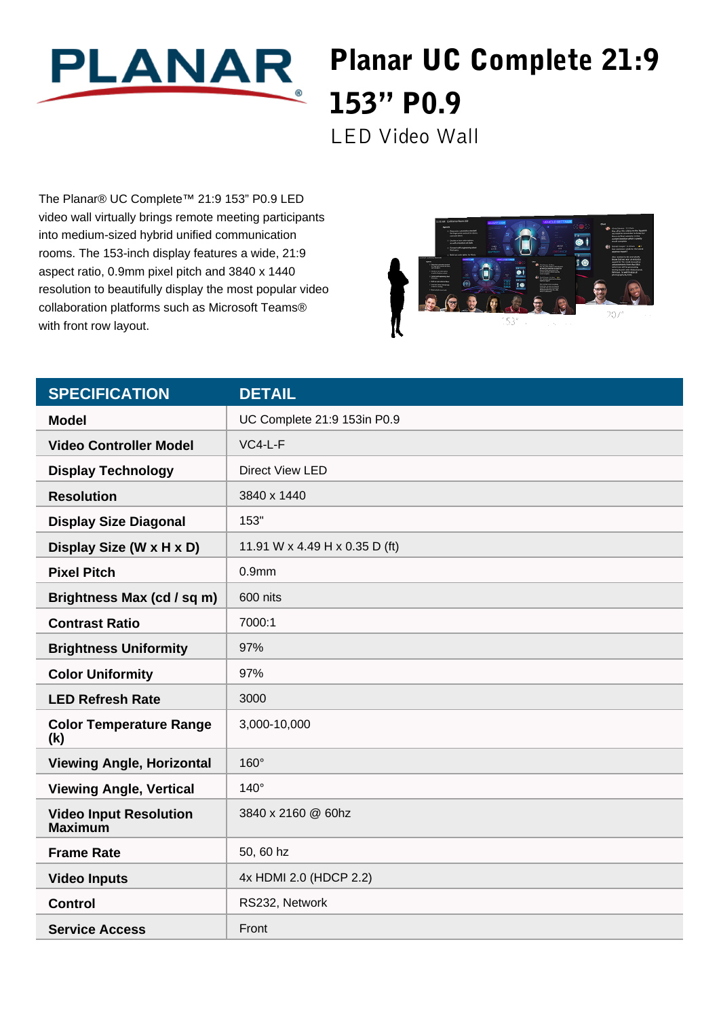

## Planar UC Complete 21:9 153" P0.9

LED Video Wall

The Planar® UC Complete™ 21:9 153" P0.9 LED video wall virtually brings remote meeting participants into medium-sized hybrid unified communication rooms. The 153-inch display features a wide, 21:9 aspect ratio, 0.9mm pixel pitch and 3840 x 1440 resolution to beautifully display the most popular video collaboration platforms such as Microsoft Teams® with front row layout.



| <b>SPECIFICATION</b>                            | <b>DETAIL</b>                  |
|-------------------------------------------------|--------------------------------|
| <b>Model</b>                                    | UC Complete 21:9 153in P0.9    |
| <b>Video Controller Model</b>                   | $VC4-L-F$                      |
| <b>Display Technology</b>                       | Direct View LED                |
| <b>Resolution</b>                               | 3840 x 1440                    |
| <b>Display Size Diagonal</b>                    | 153"                           |
| Display Size (W x H x D)                        | 11.91 W x 4.49 H x 0.35 D (ft) |
| <b>Pixel Pitch</b>                              | 0.9 <sub>mm</sub>              |
| Brightness Max (cd / sq m)                      | 600 nits                       |
| <b>Contrast Ratio</b>                           | 7000:1                         |
| <b>Brightness Uniformity</b>                    | 97%                            |
| <b>Color Uniformity</b>                         | 97%                            |
| <b>LED Refresh Rate</b>                         | 3000                           |
| <b>Color Temperature Range</b><br>(k)           | 3,000-10,000                   |
| <b>Viewing Angle, Horizontal</b>                | 160°                           |
| <b>Viewing Angle, Vertical</b>                  | $140^\circ$                    |
| <b>Video Input Resolution</b><br><b>Maximum</b> | 3840 x 2160 @ 60hz             |
| <b>Frame Rate</b>                               | 50, 60 hz                      |
| <b>Video Inputs</b>                             | 4x HDMI 2.0 (HDCP 2.2)         |
| <b>Control</b>                                  | RS232, Network                 |
| <b>Service Access</b>                           | Front                          |